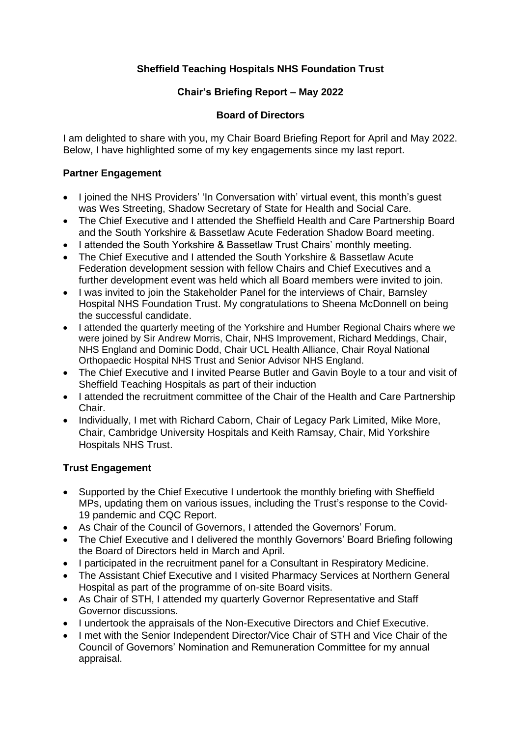# **Sheffield Teaching Hospitals NHS Foundation Trust**

# **Chair's Briefing Report – May 2022**

### **Board of Directors**

I am delighted to share with you, my Chair Board Briefing Report for April and May 2022. Below, I have highlighted some of my key engagements since my last report.

#### **Partner Engagement**

- I joined the NHS Providers' 'In Conversation with' virtual event, this month's quest was Wes Streeting, Shadow Secretary of State for Health and Social Care.
- The Chief Executive and I attended the Sheffield Health and Care Partnership Board and the South Yorkshire & Bassetlaw Acute Federation Shadow Board meeting.
- I attended the South Yorkshire & Bassetlaw Trust Chairs' monthly meeting.
- The Chief Executive and I attended the South Yorkshire & Bassetlaw Acute Federation development session with fellow Chairs and Chief Executives and a further development event was held which all Board members were invited to join.
- I was invited to join the Stakeholder Panel for the interviews of Chair, Barnsley Hospital NHS Foundation Trust. My congratulations to Sheena McDonnell on being the successful candidate.
- I attended the quarterly meeting of the Yorkshire and Humber Regional Chairs where we were joined by Sir Andrew Morris, Chair, NHS Improvement, Richard Meddings, Chair, NHS England and Dominic Dodd, Chair UCL Health Alliance, Chair Royal National Orthopaedic Hospital NHS Trust and Senior Advisor NHS England.
- The Chief Executive and I invited Pearse Butler and Gavin Boyle to a tour and visit of Sheffield Teaching Hospitals as part of their induction
- I attended the recruitment committee of the Chair of the Health and Care Partnership Chair.
- Individually, I met with Richard Caborn, Chair of Legacy Park Limited, Mike More, Chair, Cambridge University Hospitals and Keith Ramsay, Chair, Mid Yorkshire Hospitals NHS Trust.

### **Trust Engagement**

- Supported by the Chief Executive I undertook the monthly briefing with Sheffield MPs, updating them on various issues, including the Trust's response to the Covid-19 pandemic and CQC Report.
- As Chair of the Council of Governors, I attended the Governors' Forum.
- The Chief Executive and I delivered the monthly Governors' Board Briefing following the Board of Directors held in March and April.
- I participated in the recruitment panel for a Consultant in Respiratory Medicine.
- The Assistant Chief Executive and I visited Pharmacy Services at Northern General Hospital as part of the programme of on-site Board visits.
- As Chair of STH, I attended my quarterly Governor Representative and Staff Governor discussions.
- I undertook the appraisals of the Non-Executive Directors and Chief Executive.
- I met with the Senior Independent Director/Vice Chair of STH and Vice Chair of the Council of Governors' Nomination and Remuneration Committee for my annual appraisal.